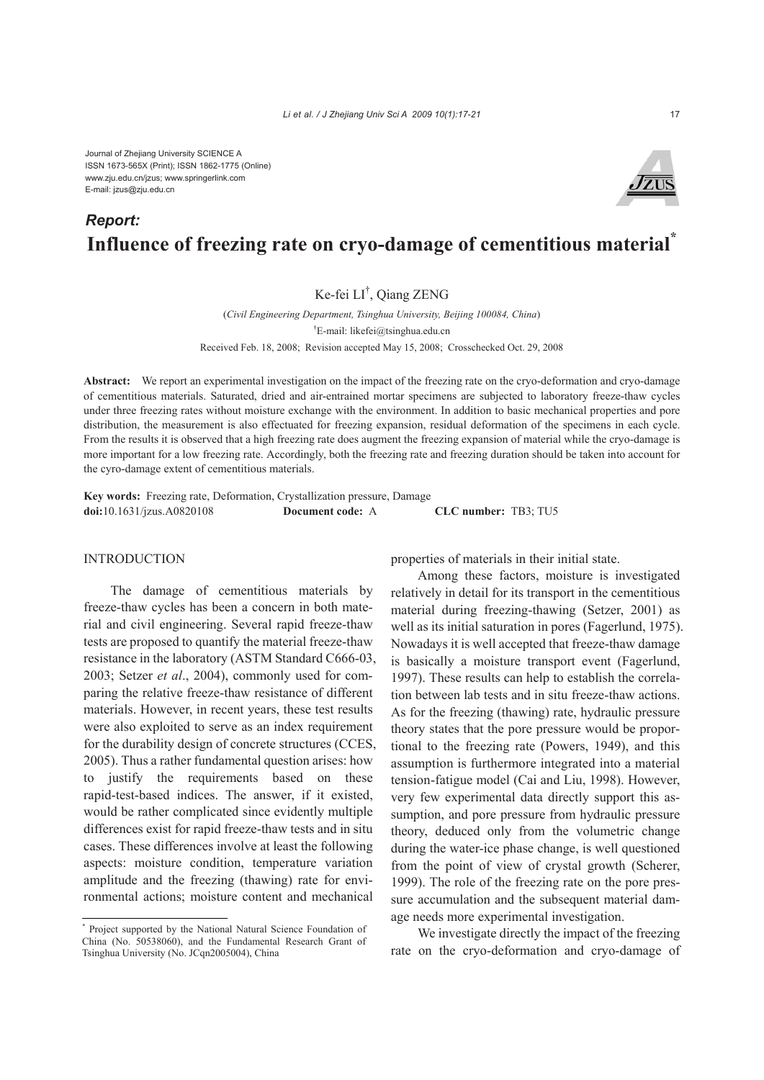Journal of Zhejiang University SCIENCE A ISSN 1673-565X (Print); ISSN 1862-1775 (Online) www.zju.edu.cn/jzus; www.springerlink.com E-mail: jzus@zju.edu.cn

# **Influence of freezing rate on cryo-damage of cementitious material\***  *Report:*

## Ke-fei LI† , Qiang ZENG

(*Civil Engineering Department, Tsinghua University, Beijing 100084, China*) † E-mail: likefei@tsinghua.edu.cn Received Feb. 18, 2008; Revision accepted May 15, 2008; Crosschecked Oct. 29, 2008

**Abstract:** We report an experimental investigation on the impact of the freezing rate on the cryo-deformation and cryo-damage of cementitious materials. Saturated, dried and air-entrained mortar specimens are subjected to laboratory freeze-thaw cycles under three freezing rates without moisture exchange with the environment. In addition to basic mechanical properties and pore distribution, the measurement is also effectuated for freezing expansion, residual deformation of the specimens in each cycle. From the results it is observed that a high freezing rate does augment the freezing expansion of material while the cryo-damage is more important for a low freezing rate. Accordingly, both the freezing rate and freezing duration should be taken into account for the cyro-damage extent of cementitious materials.

**Key words:** Freezing rate, Deformation, Crystallization pressure, Damage **doi:**10.1631/jzus.A0820108 **Document code:** A **CLC number:** TB3; TU5

### **INTRODUCTION**

The damage of cementitious materials by freeze-thaw cycles has been a concern in both material and civil engineering. Several rapid freeze-thaw tests are proposed to quantify the material freeze-thaw resistance in the laboratory (ASTM Standard C666-03, 2003; Setzer *et al*., 2004), commonly used for comparing the relative freeze-thaw resistance of different materials. However, in recent years, these test results were also exploited to serve as an index requirement for the durability design of concrete structures (CCES, 2005). Thus a rather fundamental question arises: how to justify the requirements based on these rapid-test-based indices. The answer, if it existed, would be rather complicated since evidently multiple differences exist for rapid freeze-thaw tests and in situ cases. These differences involve at least the following aspects: moisture condition, temperature variation amplitude and the freezing (thawing) rate for environmental actions; moisture content and mechanical

\* Project supported by the National Natural Science Foundation of China (No. 50538060), and the Fundamental Research Grant of Tsinghua University (No. JCqn2005004), China

properties of materials in their initial state.

Among these factors, moisture is investigated relatively in detail for its transport in the cementitious material during freezing-thawing (Setzer, 2001) as well as its initial saturation in pores (Fagerlund, 1975). Nowadays it is well accepted that freeze-thaw damage is basically a moisture transport event (Fagerlund, 1997). These results can help to establish the correlation between lab tests and in situ freeze-thaw actions. As for the freezing (thawing) rate, hydraulic pressure theory states that the pore pressure would be proportional to the freezing rate (Powers, 1949), and this assumption is furthermore integrated into a material tension-fatigue model (Cai and Liu, 1998). However, very few experimental data directly support this assumption, and pore pressure from hydraulic pressure theory, deduced only from the volumetric change during the water-ice phase change, is well questioned from the point of view of crystal growth (Scherer, 1999). The role of the freezing rate on the pore pressure accumulation and the subsequent material damage needs more experimental investigation.

We investigate directly the impact of the freezing rate on the cryo-deformation and cryo-damage of

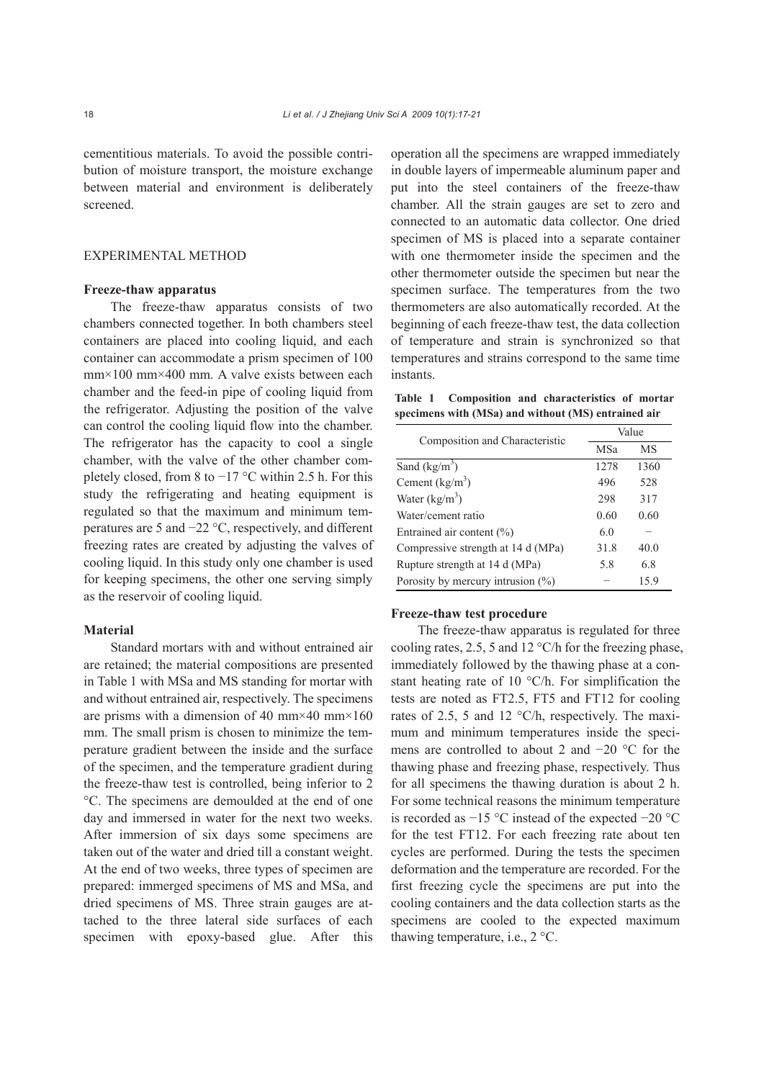cementitious materials. To avoid the possible contribution of moisture transport, the moisture exchange between material and environment is deliberately screened.

#### EXPERIMENTAL METHOD

#### **Freeze-thaw apparatus**

The freeze-thaw apparatus consists of two chambers connected together. In both chambers steel containers are placed into cooling liquid, and each container can accommodate a prism specimen of 100 mm×100 mm×400 mm. A valve exists between each chamber and the feed-in pipe of cooling liquid from the refrigerator. Adjusting the position of the valve can control the cooling liquid flow into the chamber. The refrigerator has the capacity to cool a single chamber, with the valve of the other chamber completely closed, from 8 to  $-17$  °C within 2.5 h. For this study the refrigerating and heating equipment is regulated so that the maximum and minimum temperatures are 5 and −22 °C, respectively, and different freezing rates are created by adjusting the valves of cooling liquid. In this study only one chamber is used for keeping specimens, the other one serving simply as the reservoir of cooling liquid.

#### **Material**

Standard mortars with and without entrained air are retained; the material compositions are presented in Table 1 with MSa and MS standing for mortar with and without entrained air, respectively. The specimens are prisms with a dimension of 40 mm $\times$ 40 mm $\times$ 160 mm. The small prism is chosen to minimize the temperature gradient between the inside and the surface of the specimen, and the temperature gradient during the freeze-thaw test is controlled, being inferior to 2 °C. The specimens are demoulded at the end of one day and immersed in water for the next two weeks. After immersion of six days some specimens are taken out of the water and dried till a constant weight. At the end of two weeks, three types of specimen are prepared: immerged specimens of MS and MSa, and dried specimens of MS. Three strain gauges are attached to the three lateral side surfaces of each specimen with epoxy-based glue. After this

operation all the specimens are wrapped immediately in double layers of impermeable aluminum paper and put into the steel containers of the freeze-thaw chamber. All the strain gauges are set to zero and connected to an automatic data collector. One dried specimen of MS is placed into a separate container with one thermometer inside the specimen and the other thermometer outside the specimen but near the specimen surface. The temperatures from the two thermometers are also automatically recorded. At the beginning of each freeze-thaw test, the data collection of temperature and strain is synchronized so that temperatures and strains correspond to the same time instants.

**Table 1 Composition and characteristics of mortar specimens with (MSa) and without (MS) entrained air** 

| Composition and Characteristic     | Value |      |
|------------------------------------|-------|------|
|                                    | MSa   | MS   |
| Sand $(kg/m3)$                     | 1278  | 1360 |
| Cement $(kg/m^3)$                  | 496   | 528  |
| Water $(kg/m^3)$                   | 298   | 317  |
| Water/cement ratio                 | 0.60  | 0.60 |
| Entrained air content $(\% )$      | 6.0   |      |
| Compressive strength at 14 d (MPa) | 31.8  | 40.0 |
| Rupture strength at 14 d (MPa)     | 5.8   | 6.8  |
| Porosity by mercury intrusion (%)  |       | 15.9 |

#### **Freeze-thaw test procedure**

The freeze-thaw apparatus is regulated for three cooling rates, 2.5, 5 and 12 °C/h for the freezing phase, immediately followed by the thawing phase at a constant heating rate of 10 °C/h. For simplification the tests are noted as FT2.5, FT5 and FT12 for cooling rates of 2.5, 5 and 12 °C/h, respectively. The maximum and minimum temperatures inside the specimens are controlled to about 2 and −20 °C for the thawing phase and freezing phase, respectively. Thus for all specimens the thawing duration is about 2 h. For some technical reasons the minimum temperature is recorded as −15 °C instead of the expected −20 °C for the test FT12. For each freezing rate about ten cycles are performed. During the tests the specimen deformation and the temperature are recorded. For the first freezing cycle the specimens are put into the cooling containers and the data collection starts as the specimens are cooled to the expected maximum thawing temperature, i.e., 2 °C.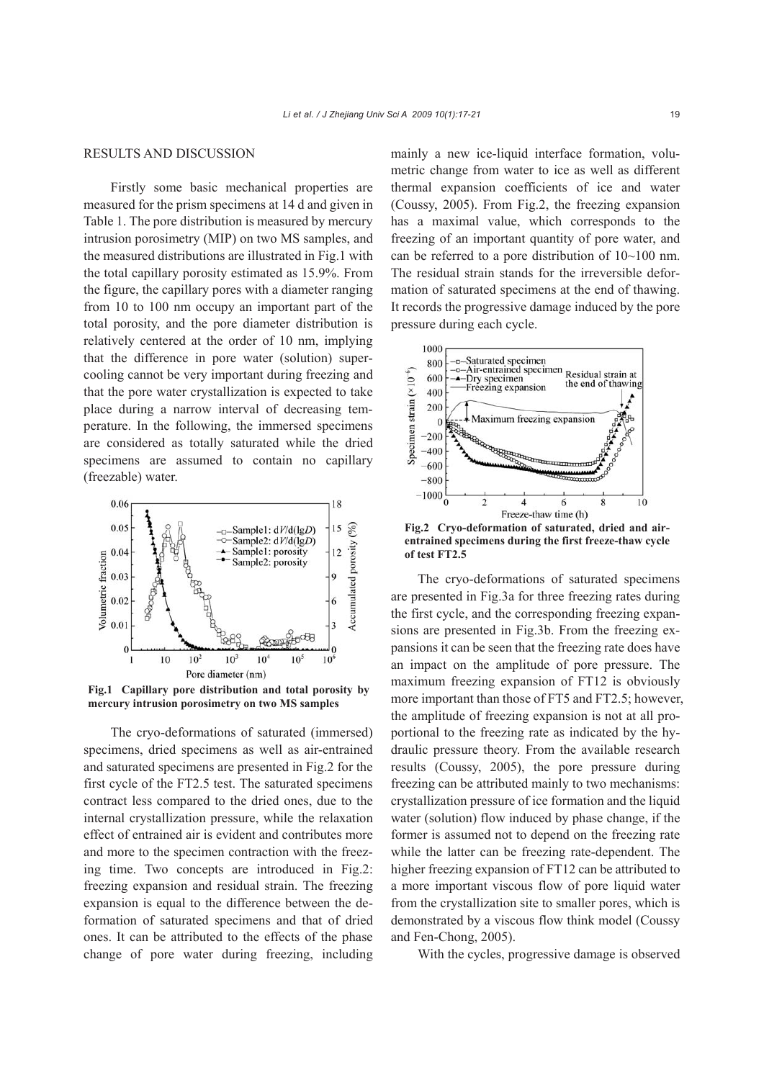#### RESULTS AND DISCUSSION

Firstly some basic mechanical properties are measured for the prism specimens at 14 d and given in Table 1. The pore distribution is measured by mercury intrusion porosimetry (MIP) on two MS samples, and the measured distributions are illustrated in Fig.1 with the total capillary porosity estimated as 15.9%. From the figure, the capillary pores with a diameter ranging from 10 to 100 nm occupy an important part of the total porosity, and the pore diameter distribution is relatively centered at the order of 10 nm, implying that the difference in pore water (solution) supercooling cannot be very important during freezing and that the pore water crystallization is expected to take place during a narrow interval of decreasing temperature. In the following, the immersed specimens are considered as totally saturated while the dried specimens are assumed to contain no capillary (freezable) water.



**Fig.1 Capillary pore distribution and total porosity by mercury intrusion porosimetry on two MS samples** 

The cryo-deformations of saturated (immersed) specimens, dried specimens as well as air-entrained and saturated specimens are presented in Fig.2 for the first cycle of the FT2.5 test. The saturated specimens contract less compared to the dried ones, due to the internal crystallization pressure, while the relaxation effect of entrained air is evident and contributes more and more to the specimen contraction with the freezing time. Two concepts are introduced in Fig.2: freezing expansion and residual strain. The freezing expansion is equal to the difference between the deformation of saturated specimens and that of dried ones. It can be attributed to the effects of the phase change of pore water during freezing, including mainly a new ice-liquid interface formation, volumetric change from water to ice as well as different thermal expansion coefficients of ice and water (Coussy, 2005). From Fig.2, the freezing expansion has a maximal value, which corresponds to the freezing of an important quantity of pore water, and can be referred to a pore distribution of 10~100 nm. The residual strain stands for the irreversible deformation of saturated specimens at the end of thawing. It records the progressive damage induced by the pore pressure during each cycle.



**Fig.2 Cryo-deformation of saturated, dried and airentrained specimens during the first freeze-thaw cycle of test FT2.5** 

The cryo-deformations of saturated specimens are presented in Fig.3a for three freezing rates during the first cycle, and the corresponding freezing expansions are presented in Fig.3b. From the freezing expansions it can be seen that the freezing rate does have an impact on the amplitude of pore pressure. The maximum freezing expansion of FT12 is obviously more important than those of FT5 and FT2.5; however, the amplitude of freezing expansion is not at all proportional to the freezing rate as indicated by the hydraulic pressure theory. From the available research results (Coussy, 2005), the pore pressure during freezing can be attributed mainly to two mechanisms: crystallization pressure of ice formation and the liquid water (solution) flow induced by phase change, if the former is assumed not to depend on the freezing rate while the latter can be freezing rate-dependent. The higher freezing expansion of FT12 can be attributed to a more important viscous flow of pore liquid water from the crystallization site to smaller pores, which is demonstrated by a viscous flow think model (Coussy and Fen-Chong, 2005).

With the cycles, progressive damage is observed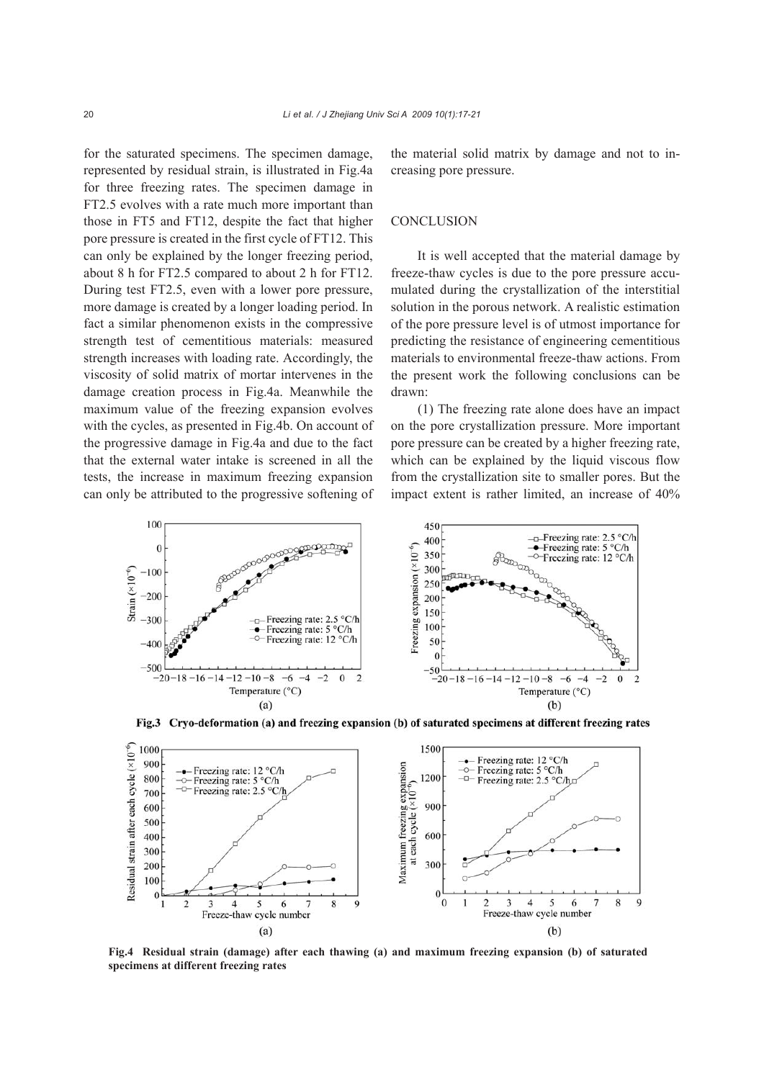for the saturated specimens. The specimen damage, represented by residual strain, is illustrated in Fig.4a for three freezing rates. The specimen damage in FT2.5 evolves with a rate much more important than those in FT5 and FT12, despite the fact that higher pore pressure is created in the first cycle of FT12. This can only be explained by the longer freezing period, about 8 h for FT2.5 compared to about 2 h for FT12. During test FT2.5, even with a lower pore pressure, more damage is created by a longer loading period. In fact a similar phenomenon exists in the compressive strength test of cementitious materials: measured strength increases with loading rate. Accordingly, the viscosity of solid matrix of mortar intervenes in the damage creation process in Fig.4a. Meanwhile the maximum value of the freezing expansion evolves with the cycles, as presented in Fig.4b. On account of the progressive damage in Fig.4a and due to the fact that the external water intake is screened in all the tests, the increase in maximum freezing expansion can only be attributed to the progressive softening of

the material solid matrix by damage and not to increasing pore pressure.

#### **CONCLUSION**

It is well accepted that the material damage by freeze-thaw cycles is due to the pore pressure accumulated during the crystallization of the interstitial solution in the porous network. A realistic estimation of the pore pressure level is of utmost importance for predicting the resistance of engineering cementitious materials to environmental freeze-thaw actions. From the present work the following conclusions can be drawn:

(1) The freezing rate alone does have an impact on the pore crystallization pressure. More important pore pressure can be created by a higher freezing rate, which can be explained by the liquid viscous flow from the crystallization site to smaller pores. But the impact extent is rather limited, an increase of 40%



Fig.3 Cryo-deformation (a) and freezing expansion (b) of saturated specimens at different freezing rates



**Fig.4 Residual strain (damage) after each thawing (a) and maximum freezing expansion (b) of saturated specimens at different freezing rates**